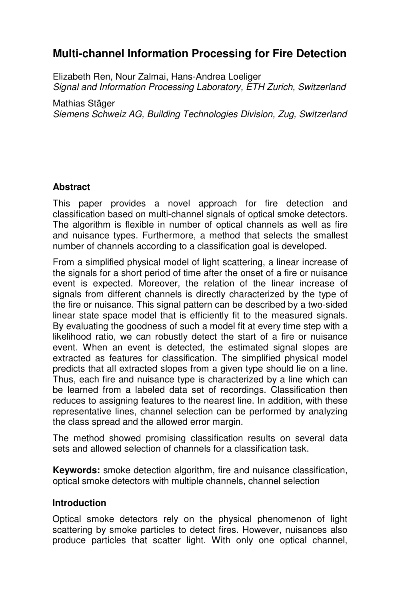# **Multi-channel Information Processing for Fire Detection**

Elizabeth Ren, Nour Zalmai, Hans-Andrea Loeliger Signal and Information Processing Laboratory, ETH Zurich, Switzerland

Mathias Stäger Siemens Schweiz AG, Building Technologies Division, Zug, Switzerland

## **Abstract**

This paper provides a novel approach for fire detection and classification based on multi-channel signals of optical smoke detectors. The algorithm is flexible in number of optical channels as well as fire and nuisance types. Furthermore, a method that selects the smallest number of channels according to a classification goal is developed.

From a simplified physical model of light scattering, a linear increase of the signals for a short period of time after the onset of a fire or nuisance event is expected. Moreover, the relation of the linear increase of signals from different channels is directly characterized by the type of the fire or nuisance. This signal pattern can be described by a two-sided linear state space model that is efficiently fit to the measured signals. By evaluating the goodness of such a model fit at every time step with a likelihood ratio, we can robustly detect the start of a fire or nuisance event. When an event is detected, the estimated signal slopes are extracted as features for classification. The simplified physical model predicts that all extracted slopes from a given type should lie on a line. Thus, each fire and nuisance type is characterized by a line which can be learned from a labeled data set of recordings. Classification then reduces to assigning features to the nearest line. In addition, with these representative lines, channel selection can be performed by analyzing the class spread and the allowed error margin.

The method showed promising classification results on several data sets and allowed selection of channels for a classification task.

**Keywords:** smoke detection algorithm, fire and nuisance classification, optical smoke detectors with multiple channels, channel selection

#### **Introduction**

Optical smoke detectors rely on the physical phenomenon of light scattering by smoke particles to detect fires. However, nuisances also produce particles that scatter light. With only one optical channel,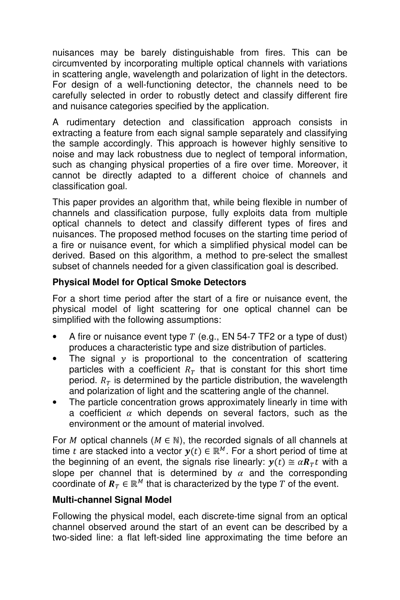nuisances may be barely distinguishable from fires. This can be circumvented by incorporating multiple optical channels with variations in scattering angle, wavelength and polarization of light in the detectors. For design of a well-functioning detector, the channels need to be carefully selected in order to robustly detect and classify different fire and nuisance categories specified by the application.

A rudimentary detection and classification approach consists in extracting a feature from each signal sample separately and classifying the sample accordingly. This approach is however highly sensitive to noise and may lack robustness due to neglect of temporal information, such as changing physical properties of a fire over time. Moreover, it cannot be directly adapted to a different choice of channels and classification goal.

This paper provides an algorithm that, while being flexible in number of channels and classification purpose, fully exploits data from multiple optical channels to detect and classify different types of fires and nuisances. The proposed method focuses on the starting time period of a fire or nuisance event, for which a simplified physical model can be derived. Based on this algorithm, a method to pre-select the smallest subset of channels needed for a given classification goal is described.

# **Physical Model for Optical Smoke Detectors**

For a short time period after the start of a fire or nuisance event, the physical model of light scattering for one optical channel can be simplified with the following assumptions:

- A fire or nuisance event type  $T$  (e.g., EN 54-7 TF2 or a type of dust) produces a characteristic type and size distribution of particles.
- The signal  $y$  is proportional to the concentration of scattering particles with a coefficient  $R<sub>T</sub>$  that is constant for this short time period.  $R<sub>T</sub>$  is determined by the particle distribution, the wavelength and polarization of light and the scattering angle of the channel.
- The particle concentration grows approximately linearly in time with a coefficient  $\alpha$  which depends on several factors, such as the environment or the amount of material involved.

For *M* optical channels ( $M \in \mathbb{N}$ ), the recorded signals of all channels at time  $t$  are stacked into a vector  $\mathbf{y}(t) \in \mathbb{R}^M$ . For a short period of time at the beginning of an event, the signals rise linearly:  $y(t) \cong \alpha R_T t$  with a slope per channel that is determined by  $\alpha$  and the corresponding coordinate of  $R_T \in \mathbb{R}^M$  that is characterized by the type T of the event.

# **Multi-channel Signal Model**

Following the physical model, each discrete-time signal from an optical channel observed around the start of an event can be described by a two-sided line: a flat left-sided line approximating the time before an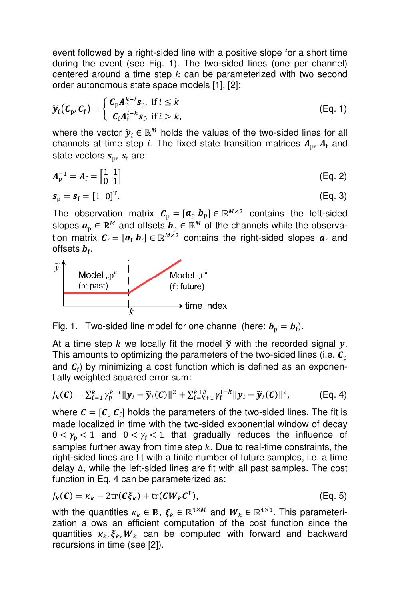event followed by a right-sided line with a positive slope for a short time during the event (see Fig. 1). The two-sided lines (one per channel) centered around a time step  $k$  can be parameterized with two second order autonomous state space models [1], [2]:

$$
\widetilde{\mathbf{y}}_i(\boldsymbol{C}_p, \boldsymbol{C}_f) = \begin{cases} \boldsymbol{C}_p \boldsymbol{A}_p^{k-i} \boldsymbol{s}_p, & \text{if } i \leq k \\ \boldsymbol{C}_f \boldsymbol{A}_f^{i-k} \boldsymbol{s}_p, & \text{if } i > k, \end{cases}
$$
 (Eq. 1)

where the vector  $\tilde{y}_i \in \mathbb{R}^M$  holds the values of the two-sided lines for all channels at time step i. The fixed state transition matrices  $A_{\rm p}$ ,  $A_{\rm f}$  and state vectors  $\boldsymbol{s}_{\rm p}$ ,  $\boldsymbol{s}_{\rm f}$  are:

$$
A_{p}^{-1} = A_{f} = \begin{bmatrix} 1 & 1 \\ 0 & 1 \end{bmatrix}
$$
 (Eq. 2)

$$
\boldsymbol{s}_{\mathrm{p}} = \boldsymbol{s}_{\mathrm{f}} = \begin{bmatrix} 1 & 0 \end{bmatrix}^{\mathrm{T}}.\tag{Eq. 3}
$$

The observation matrix  $\mathcal{C}_p = [\mathbf{a}_p \ \mathbf{b}_p] \in \mathbb{R}^{M \times 2}$  contains the left-sided slopes  $\boldsymbol{a}_\mathrm{p}\in \mathbb{R}^M$  and offsets  $\boldsymbol{b}_\mathrm{p}\in \mathbb{R}^M$  of the channels while the observation matrix  $\mathbf{C}_{\mathrm{f}} = [\mathbf{a}_{\mathrm{f}} \; \mathbf{b}_{\mathrm{f}}] \in \mathbb{R}^{M \times 2}$  contains the right-sided slopes  $\mathbf{a}_{\mathrm{f}}$  and offsets  $\bm{b}_{\mathrm{f}}.$ 



Fig. 1. Two-sided line model for one channel (here:  $\bm{b}_{\rm p} = \bm{b}_{\rm f}$ ).

At a time step k we locally fit the model  $\widetilde{y}$  with the recorded signal y. This amounts to optimizing the parameters of the two-sided lines (i.e.  $C_p$ and  $\mathcal{C}_{\text{f}}$ ) by minimizing a cost function which is defined as an exponentially weighted squared error sum:

$$
J_k(\mathcal{C}) = \sum_{i=1}^k \gamma_p^{k-i} ||\mathbf{y}_i - \widetilde{\mathbf{y}}_i(\mathcal{C})||^2 + \sum_{i=k+1}^{k+\Delta} \gamma_i^{i-k} ||\mathbf{y}_i - \widetilde{\mathbf{y}}_i(\mathcal{C})||^2,
$$
 (Eq. 4)

where  $\mathcal{C} = [\mathcal{C}_{\mathrm{p}} \, \mathcal{C}_{\mathrm{f}}]$  holds the parameters of the two-sided lines. The fit is made localized in time with the two-sided exponential window of decay  $0 < \gamma_{\rm p} < 1$  and  $0 < \gamma_{\rm f} < 1$  that gradually reduces the influence of samples further away from time step  $k$ . Due to real-time constraints, the right-sided lines are fit with a finite number of future samples, i.e. a time delay ∆, while the left-sided lines are fit with all past samples. The cost function in Eq. 4 can be parameterized as:

$$
J_k(\mathcal{C}) = \kappa_k - 2 \text{tr}(\mathcal{C} \xi_k) + \text{tr}(\mathcal{C} \mathcal{W}_k \mathcal{C}^T),
$$
 (Eq. 5)

with the quantities  $\kappa_k \in \mathbb{R}, \xi_k \in \mathbb{R}^{4 \times M}$  and  $W_k \in \mathbb{R}^{4 \times 4}$ . This parameterization allows an efficient computation of the cost function since the quantities  $\kappa_k, \xi_k, W_k$  can be computed with forward and backward recursions in time (see [2]).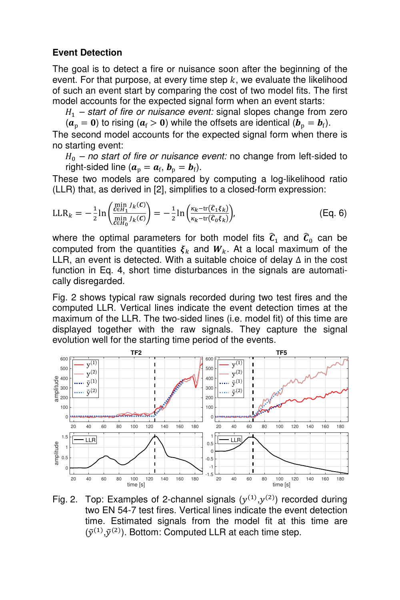### **Event Detection**

The goal is to detect a fire or nuisance soon after the beginning of the event. For that purpose, at every time step  $k$ , we evaluate the likelihood of such an event start by comparing the cost of two model fits. The first model accounts for the expected signal form when an event starts:

 $H_1$  – start of fire or nuisance event: signal slopes change from zero

 $(a_p = 0)$  to rising  $(a_f > 0)$  while the offsets are identical  $(b_p = b_f)$ . The second model accounts for the expected signal form when there is no starting event:

 $H_0$  – no start of fire or nuisance event: no change from left-sided to right-sided line ( $\boldsymbol{a}_p = \boldsymbol{a}_f, \, \boldsymbol{b}_p = \boldsymbol{b}_f$ ).

These two models are compared by computing a log-likelihood ratio (LLR) that, as derived in [2], simplifies to a closed-form expression:

$$
\text{LLR}_k = -\frac{1}{2} \ln \left( \frac{\frac{\text{min } J_k(C)}{\text{ceil}_1 J_k(C)}}{\frac{\text{min } J_k(C)}{\text{ceil}_2 J_k(C)}} \right) = -\frac{1}{2} \ln \left( \frac{\kappa_k - \text{tr}(\hat{c}_1 \xi_k)}{\kappa_k - \text{tr}(\hat{c}_0 \xi_k)} \right),\tag{Eq. 6}
$$

where the optimal parameters for both model fits  $\widehat{c}_1$  and  $\widehat{c}_0$  can be computed from the quantities  $\xi_k$  and  $W_k$ . At a local maximum of the LLR, an event is detected. With a suitable choice of delay ∆ in the cost function in Eq. 4, short time disturbances in the signals are automatically disregarded.

Fig. 2 shows typical raw signals recorded during two test fires and the computed LLR. Vertical lines indicate the event detection times at the maximum of the LLR. The two-sided lines (i.e. model fit) of this time are displayed together with the raw signals. They capture the signal evolution well for the starting time period of the events.



Fig. 2. Top: Examples of 2-channel signals  $(y^{(1)}, y^{(2)})$  recorded during two EN 54-7 test fires. Vertical lines indicate the event detection time. Estimated signals from the model fit at this time are  $(\tilde{y}^{(1)}, \tilde{y}^{(2)})$ . Bottom: Computed LLR at each time step.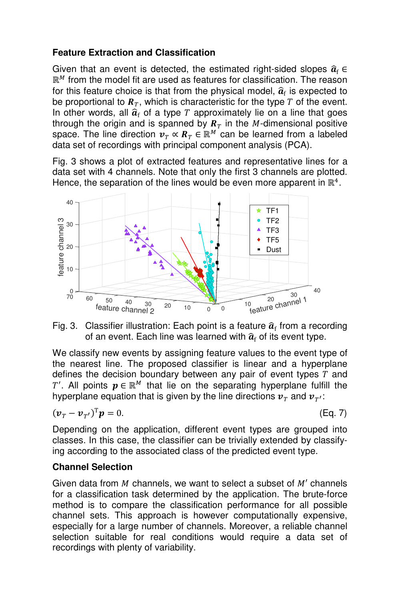## **Feature Extraction and Classification**

Given that an event is detected, the estimated right-sided slopes  $\hat{a}_f \in$ ℝ from the model fit are used as features for classification. The reason for this feature choice is that from the physical model,  $\hat{a}_{\rm f}$  is expected to be proportional to  $\mathbf{R}_T$ , which is characteristic for the type T of the event. In other words, all  $\hat{a}_{\rm f}$  of a type T approximately lie on a line that goes through the origin and is spanned by  $R<sub>T</sub>$  in the M-dimensional positive space. The line direction  $v_T \propto R_T \in \mathbb{R}^M$  can be learned from a labeled data set of recordings with principal component analysis (PCA).

Fig. 3 shows a plot of extracted features and representative lines for a data set with 4 channels. Note that only the first 3 channels are plotted. Hence, the separation of the lines would be even more apparent in  $\mathbb{R}^4$ .



Fig. 3. Classifier illustration: Each point is a feature  $\widehat{a}_{\mathrm{f}}$  from a recording of an event. Each line was learned with  $\widehat{\boldsymbol{a}}_{\text{f}}$  of its event type.

We classify new events by assigning feature values to the event type of the nearest line. The proposed classifier is linear and a hyperplane defines the decision boundary between any pair of event types  $T$  and  $T'$ . All points  $\boldsymbol{p} \in \mathbb{R}^M$  that lie on the separating hyperplane fulfill the hyperplane equation that is given by the line directions  $\pmb{\nu}_T$  and  $\pmb{\nu}_{T^\prime}$ :

$$
(\boldsymbol{\nu}_T - \boldsymbol{\nu}_{T'})^{\mathrm{T}} \boldsymbol{p} = 0. \tag{Eq. 7}
$$

Depending on the application, different event types are grouped into classes. In this case, the classifier can be trivially extended by classifying according to the associated class of the predicted event type.

## **Channel Selection**

Given data from  $M$  channels, we want to select a subset of  $M'$  channels for a classification task determined by the application. The brute-force method is to compare the classification performance for all possible channel sets. This approach is however computationally expensive, especially for a large number of channels. Moreover, a reliable channel selection suitable for real conditions would require a data set of recordings with plenty of variability.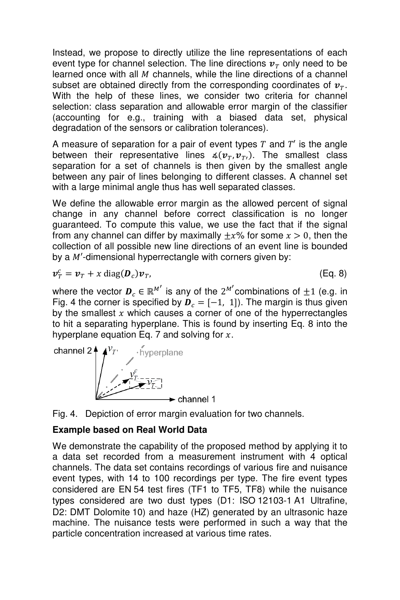Instead, we propose to directly utilize the line representations of each event type for channel selection. The line directions  $v<sub>T</sub>$  only need to be learned once with all  $M$  channels, while the line directions of a channel subset are obtained directly from the corresponding coordinates of  $v_T$ . With the help of these lines, we consider two criteria for channel selection: class separation and allowable error margin of the classifier (accounting for e.g., training with a biased data set, physical degradation of the sensors or calibration tolerances).

A measure of separation for a pair of event types  $T$  and  $T'$  is the angle between their representative lines  $\measuredangle(\boldsymbol{v}_T, \boldsymbol{v}_T)$ . The smallest class separation for a set of channels is then given by the smallest angle between any pair of lines belonging to different classes. A channel set with a large minimal angle thus has well separated classes.

We define the allowable error margin as the allowed percent of signal change in any channel before correct classification is no longer guaranteed. To compute this value, we use the fact that if the signal from any channel can differ by maximally  $\pm x$ % for some  $x > 0$ , then the collection of all possible new line directions of an event line is bounded by a  $M'$ -dimensional hyperrectangle with corners given by:

$$
\boldsymbol{v}_T^c = \boldsymbol{v}_T + x \operatorname{diag}(\boldsymbol{D}_c) \boldsymbol{v}_T, \tag{Eq. 8}
$$

where the vector  $\boldsymbol{D}_c \in \mathbb{R}^{M'}$  is any of the  $2^{M'}$ combinations of  $\pm 1$  (e.g. in Fig. 4 the corner is specified by  $\mathbf{D}_c = [-1, 1]$ . The margin is thus given by the smallest  $x$  which causes a corner of one of the hyperrectangles to hit a separating hyperplane. This is found by inserting Eq. 8 into the hyperplane equation Eq. 7 and solving for  $x$ .





## **Example based on Real World Data**

We demonstrate the capability of the proposed method by applying it to a data set recorded from a measurement instrument with 4 optical channels. The data set contains recordings of various fire and nuisance event types, with 14 to 100 recordings per type. The fire event types considered are EN 54 test fires (TF1 to TF5, TF8) while the nuisance types considered are two dust types (D1: ISO 12103-1 A1 Ultrafine, D2: DMT Dolomite 10) and haze (HZ) generated by an ultrasonic haze machine. The nuisance tests were performed in such a way that the particle concentration increased at various time rates.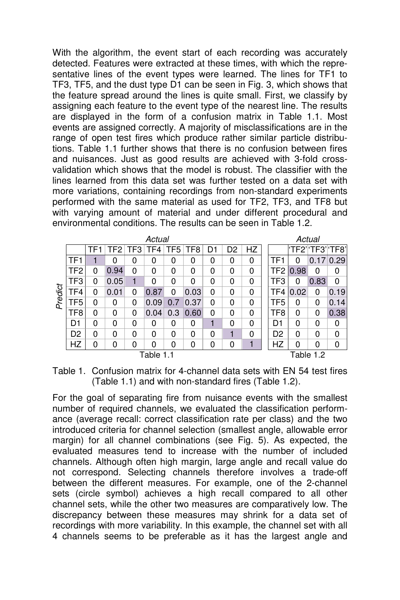With the algorithm, the event start of each recording was accurately detected. Features were extracted at these times, with which the representative lines of the event types were learned. The lines for TF1 to TF3, TF5, and the dust type D1 can be seen in Fig. 3, which shows that the feature spread around the lines is quite small. First, we classify by assigning each feature to the event type of the nearest line. The results are displayed in the form of a confusion matrix in Table 1.1. Most events are assigned correctly. A majority of misclassifications are in the range of open test fires which produce rather similar particle distributions. Table 1.1 further shows that there is no confusion between fires and nuisances. Just as good results are achieved with 3-fold crossvalidation which shows that the model is robust. The classifier with the lines learned from this data set was further tested on a data set with more variations, containing recordings from non-standard experiments performed with the same material as used for TF2, TF3, and TF8 but with varying amount of material and under different procedural and environmental conditions. The results can be seen in Table 1.2.

| Actual    |                 |                 |          |     |       |     |      |    |                |    |  | Actual          |      |      |                   |  |
|-----------|-----------------|-----------------|----------|-----|-------|-----|------|----|----------------|----|--|-----------------|------|------|-------------------|--|
|           |                 | TF <sub>1</sub> | TF2 l    | TF3 | TF4 I | TF5 | TF8  | D1 | D <sub>2</sub> | HZ |  |                 |      |      | 'TF2' 'TF3' 'TF8' |  |
| Predict   | TF <sub>1</sub> |                 | 0        | 0   | 0     | 0   | 0    | 0  | 0              | 0  |  | TF <sub>1</sub> | 0    |      | 0.17 0.29         |  |
|           | TF <sub>2</sub> | 0               | 0.94     | 0   | 0     | 0   | 0    | 0  | 0              | 0  |  | TF <sub>2</sub> | 0.98 | 0    | 0                 |  |
|           | TF3             | 0               | 0.05     | 1   | 0     | 0   | 0    | 0  | 0              | 0  |  | TF3             | 0    | 0.83 | $\Omega$          |  |
|           | TF <sub>4</sub> | 0               | 0.01     | 0   | 0.87  | 0   | 0.03 | 0  | 0              | 0  |  | TF4             | 0.02 | 0    | 0.19              |  |
|           | TF <sub>5</sub> | $\mathbf{0}$    | 0        | 0   | 0.09  | 0.7 | 0.37 | 0  | 0              | 0  |  | TF5             | 0    | 0    | 0.14              |  |
|           | TF8             | 0               | 0        | 0   | 0.04  | 0.3 | 0.60 | 0  | 0              | 0  |  | TF8             | 0    | 0    | 0.38              |  |
|           | D <sub>1</sub>  | $\Omega$        | $\Omega$ | 0   | 0     | 0   | 0    | 1  | 0              | 0  |  | D <sub>1</sub>  | 0    | 0    | 0                 |  |
|           | D <sub>2</sub>  | $\mathbf{0}$    | 0        | 0   | 0     | 0   | 0    | 0  |                | 0  |  | D <sub>2</sub>  | 0    | 0    | 0                 |  |
|           | HZ              | 0               | 0        | 0   | 0     | 0   | 0    | 0  | 0              | 1  |  | HZ              | 0    | 0    | 0                 |  |
| Table 1.1 |                 |                 |          |     |       |     |      |    |                |    |  | Table 1.2       |      |      |                   |  |

Table 1. Confusion matrix for 4-channel data sets with EN 54 test fires (Table 1.1) and with non-standard fires (Table 1.2).

For the goal of separating fire from nuisance events with the smallest number of required channels, we evaluated the classification performance (average recall: correct classification rate per class) and the two introduced criteria for channel selection (smallest angle, allowable error margin) for all channel combinations (see Fig. 5). As expected, the evaluated measures tend to increase with the number of included channels. Although often high margin, large angle and recall value do not correspond. Selecting channels therefore involves a trade-off between the different measures. For example, one of the 2-channel sets (circle symbol) achieves a high recall compared to all other channel sets, while the other two measures are comparatively low. The discrepancy between these measures may shrink for a data set of recordings with more variability. In this example, the channel set with all 4 channels seems to be preferable as it has the largest angle and